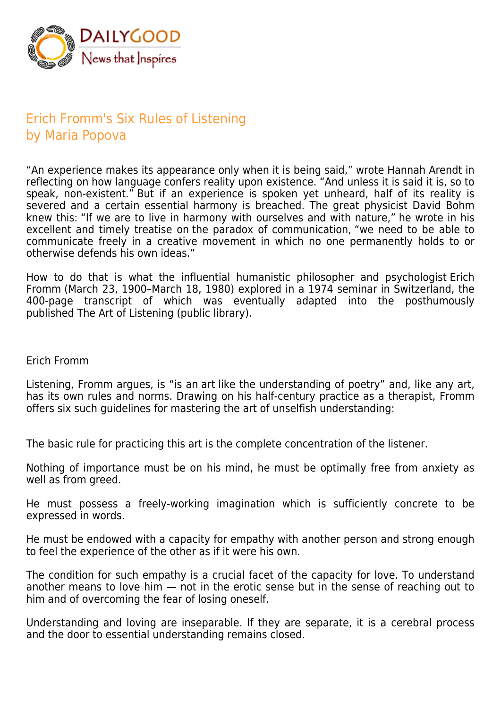

## Erich Fromm's Six Rules of Listening by Maria Popova

"An experience makes its appearance only when it is being said," wrote Hannah Arendt in reflecting on how language confers reality upon existence. "And unless it is said it is, so to speak, non-existent." But if an experience is spoken yet unheard, half of its reality is severed and a certain essential harmony is breached. The great physicist David Bohm knew this: "If we are to live in harmony with ourselves and with nature," he wrote in his excellent and timely treatise on the paradox of communication, "we need to be able to communicate freely in a creative movement in which no one permanently holds to or otherwise defends his own ideas."

How to do that is what the influential humanistic philosopher and psychologist Erich Fromm (March 23, 1900–March 18, 1980) explored in a 1974 seminar in Switzerland, the 400-page transcript of which was eventually adapted into the posthumously published The Art of Listening (public library).

## Erich Fromm

Listening, Fromm argues, is "is an art like the understanding of poetry" and, like any art, has its own rules and norms. Drawing on his half-century practice as a therapist, Fromm offers six such guidelines for mastering the art of unselfish understanding:

The basic rule for practicing this art is the complete concentration of the listener.

Nothing of importance must be on his mind, he must be optimally free from anxiety as well as from greed.

He must possess a freely-working imagination which is sufficiently concrete to be expressed in words.

He must be endowed with a capacity for empathy with another person and strong enough to feel the experience of the other as if it were his own.

The condition for such empathy is a crucial facet of the capacity for love. To understand another means to love him — not in the erotic sense but in the sense of reaching out to him and of overcoming the fear of losing oneself.

Understanding and loving are inseparable. If they are separate, it is a cerebral process and the door to essential understanding remains closed.